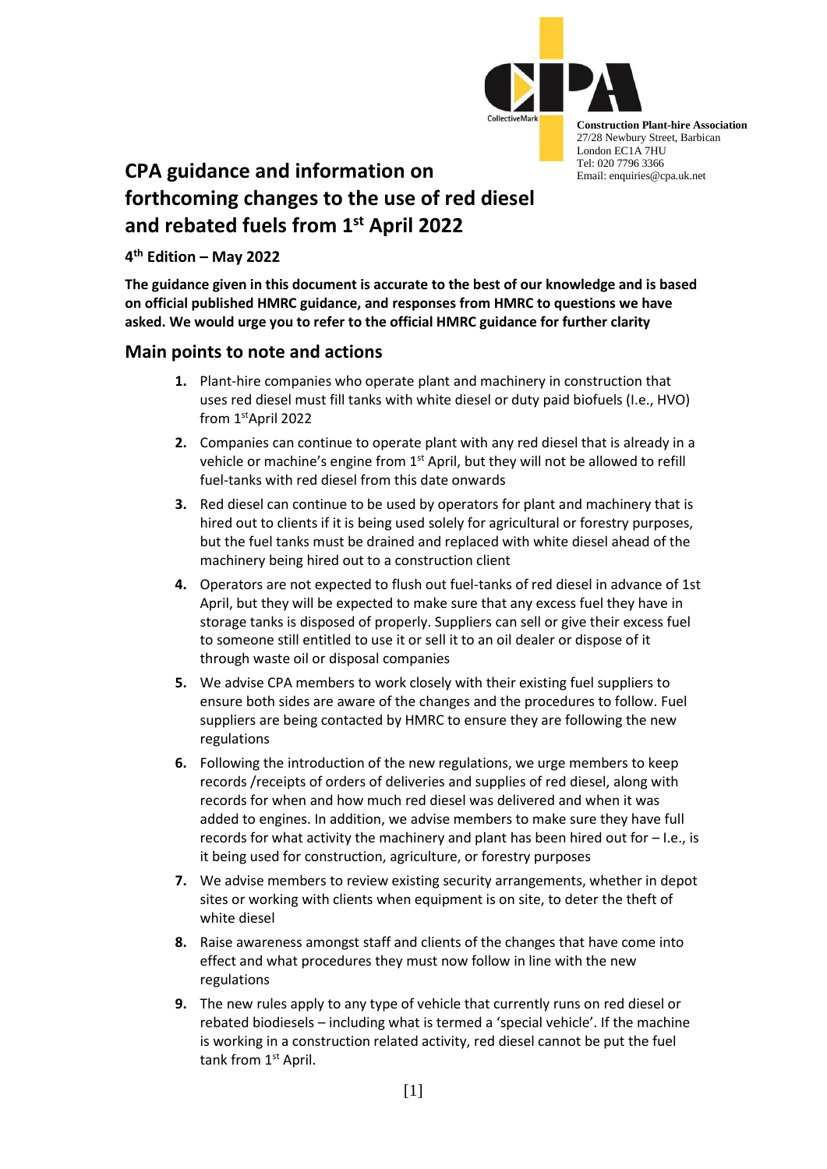

**Construction Plant-hire Association** 27/28 Newbury Street, Barbican London EC1A 7HU Tel: 020 7796 3366 Email: enquiries@cpa.uk.net

# **CPA guidance and information on forthcoming changes to the use of red diesel and rebated fuels from 1st April 2022**

**4 th Edition – May 2022**

**The guidance given in this document is accurate to the best of our knowledge and is based on official published HMRC guidance, and responses from HMRC to questions we have asked. We would urge you to refer to the official HMRC guidance for further clarity**

## **Main points to note and actions**

- **1.** Plant-hire companies who operate plant and machinery in construction that uses red diesel must fill tanks with white diesel or duty paid biofuels (I.e., HVO) from 1 stApril 2022
- **2.** Companies can continue to operate plant with any red diesel that is already in a vehicle or machine's engine from 1<sup>st</sup> April, but they will not be allowed to refill fuel-tanks with red diesel from this date onwards
- **3.** Red diesel can continue to be used by operators for plant and machinery that is hired out to clients if it is being used solely for agricultural or forestry purposes, but the fuel tanks must be drained and replaced with white diesel ahead of the machinery being hired out to a construction client
- **4.** Operators are not expected to flush out fuel-tanks of red diesel in advance of 1st April, but they will be expected to make sure that any excess fuel they have in storage tanks is disposed of properly. Suppliers can sell or give their excess fuel to someone still entitled to use it or sell it to an oil dealer or dispose of it through waste oil or disposal companies
- **5.** We advise CPA members to work closely with their existing fuel suppliers to ensure both sides are aware of the changes and the procedures to follow. Fuel suppliers are being contacted by HMRC to ensure they are following the new regulations
- **6.** Following the introduction of the new regulations, we urge members to keep records /receipts of orders of deliveries and supplies of red diesel, along with records for when and how much red diesel was delivered and when it was added to engines. In addition, we advise members to make sure they have full records for what activity the machinery and plant has been hired out for – I.e., is it being used for construction, agriculture, or forestry purposes
- **7.** We advise members to review existing security arrangements, whether in depot sites or working with clients when equipment is on site, to deter the theft of white diesel
- **8.** Raise awareness amongst staff and clients of the changes that have come into effect and what procedures they must now follow in line with the new regulations
- **9.** The new rules apply to any type of vehicle that currently runs on red diesel or rebated biodiesels – including what is termed a 'special vehicle'. If the machine is working in a construction related activity, red diesel cannot be put the fuel tank from 1<sup>st</sup> April.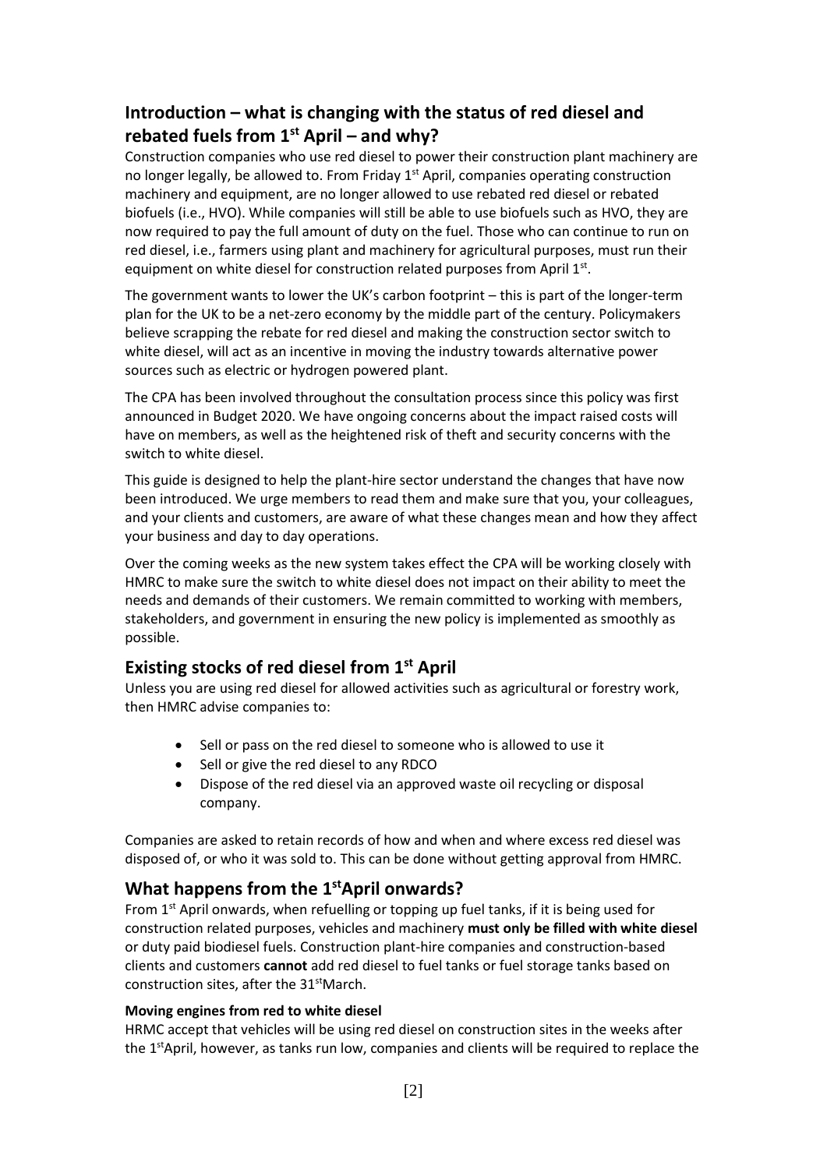## **Introduction – what is changing with the status of red diesel and rebated fuels from 1st April – and why?**

Construction companies who use red diesel to power their construction plant machinery are no longer legally, be allowed to. From Friday  $1<sup>st</sup>$  April, companies operating construction machinery and equipment, are no longer allowed to use rebated red diesel or rebated biofuels (i.e., HVO). While companies will still be able to use biofuels such as HVO, they are now required to pay the full amount of duty on the fuel. Those who can continue to run on red diesel, i.e., farmers using plant and machinery for agricultural purposes, must run their equipment on white diesel for construction related purposes from April 1st.

The government wants to lower the UK's carbon footprint – this is part of the longer-term plan for the UK to be a net-zero economy by the middle part of the century. Policymakers believe scrapping the rebate for red diesel and making the construction sector switch to white diesel, will act as an incentive in moving the industry towards alternative power sources such as electric or hydrogen powered plant.

The CPA has been involved throughout the consultation process since this policy was first announced in Budget 2020. We have ongoing concerns about the impact raised costs will have on members, as well as the heightened risk of theft and security concerns with the switch to white diesel.

This guide is designed to help the plant-hire sector understand the changes that have now been introduced. We urge members to read them and make sure that you, your colleagues, and your clients and customers, are aware of what these changes mean and how they affect your business and day to day operations.

Over the coming weeks as the new system takes effect the CPA will be working closely with HMRC to make sure the switch to white diesel does not impact on their ability to meet the needs and demands of their customers. We remain committed to working with members, stakeholders, and government in ensuring the new policy is implemented as smoothly as possible.

## **Existing stocks of red diesel from 1st April**

Unless you are using red diesel for allowed activities such as agricultural or forestry work, then HMRC advise companies to:

- Sell or pass on the red diesel to someone who is allowed to use it
- Sell or give the red diesel to any RDCO
- Dispose of the red diesel via an approved waste oil recycling or disposal company.

Companies are asked to retain records of how and when and where excess red diesel was disposed of, or who it was sold to. This can be done without getting approval from HMRC.

## **What happens from the 1 stApril onwards?**

From 1<sup>st</sup> April onwards, when refuelling or topping up fuel tanks, if it is being used for construction related purposes, vehicles and machinery **must only be filled with white diesel** or duty paid biodiesel fuels. Construction plant-hire companies and construction-based clients and customers **cannot** add red diesel to fuel tanks or fuel storage tanks based on construction sites, after the 31<sup>st</sup>March.

### **Moving engines from red to white diesel**

HRMC accept that vehicles will be using red diesel on construction sites in the weeks after the 1<sup>st</sup>April, however, as tanks run low, companies and clients will be required to replace the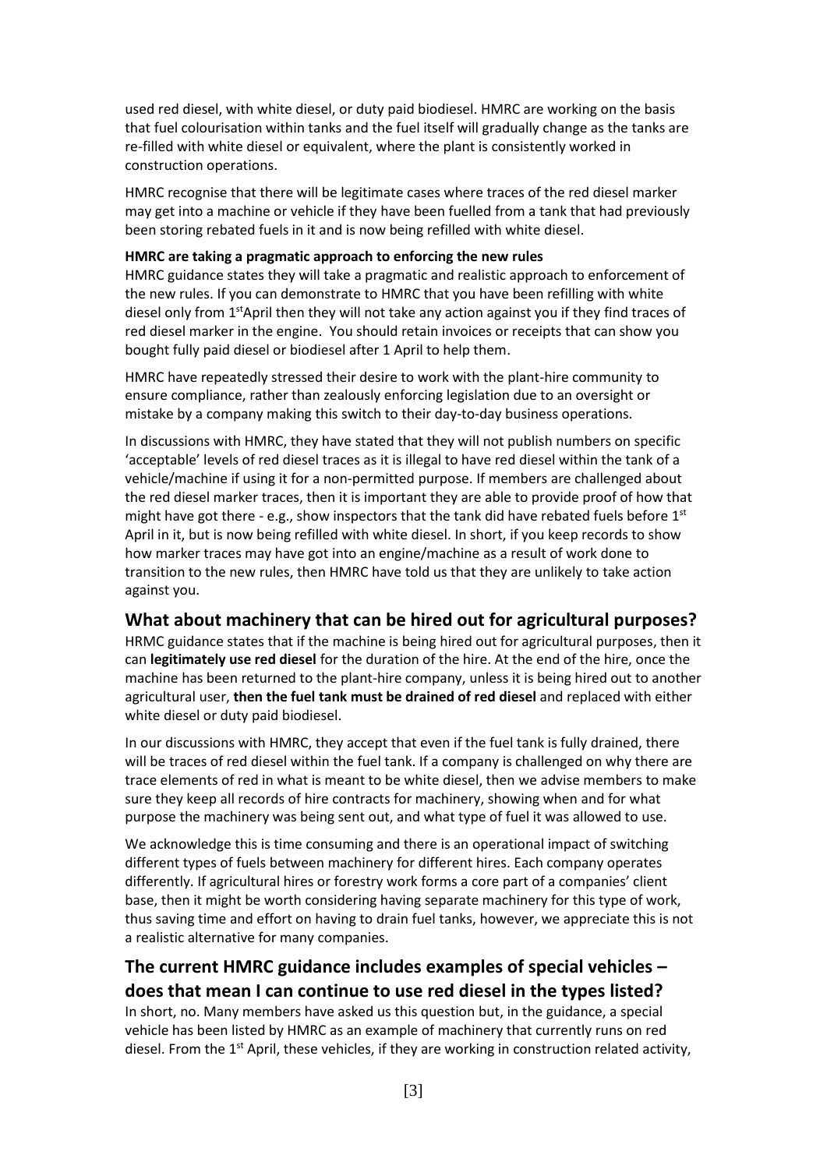used red diesel, with white diesel, or duty paid biodiesel. HMRC are working on the basis that fuel colourisation within tanks and the fuel itself will gradually change as the tanks are re-filled with white diesel or equivalent, where the plant is consistently worked in construction operations.

HMRC recognise that there will be legitimate cases where traces of the red diesel marker may get into a machine or vehicle if they have been fuelled from a tank that had previously been storing rebated fuels in it and is now being refilled with white diesel.

#### **HMRC are taking a pragmatic approach to enforcing the new rules**

HMRC guidance states they will take a pragmatic and realistic approach to enforcement of the new rules. If you can demonstrate to HMRC that you have been refilling with white diesel only from 1<sup>st</sup>April then they will not take any action against you if they find traces of red diesel marker in the engine. You should retain invoices or receipts that can show you bought fully paid diesel or biodiesel after 1 April to help them.

HMRC have repeatedly stressed their desire to work with the plant-hire community to ensure compliance, rather than zealously enforcing legislation due to an oversight or mistake by a company making this switch to their day-to-day business operations.

In discussions with HMRC, they have stated that they will not publish numbers on specific 'acceptable' levels of red diesel traces as it is illegal to have red diesel within the tank of a vehicle/machine if using it for a non-permitted purpose. If members are challenged about the red diesel marker traces, then it is important they are able to provide proof of how that might have got there - e.g., show inspectors that the tank did have rebated fuels before  $1<sup>st</sup>$ April in it, but is now being refilled with white diesel. In short, if you keep records to show how marker traces may have got into an engine/machine as a result of work done to transition to the new rules, then HMRC have told us that they are unlikely to take action against you.

### **What about machinery that can be hired out for agricultural purposes?**

HRMC guidance states that if the machine is being hired out for agricultural purposes, then it can **legitimately use red diesel** for the duration of the hire. At the end of the hire, once the machine has been returned to the plant-hire company, unless it is being hired out to another agricultural user, **then the fuel tank must be drained of red diesel** and replaced with either white diesel or duty paid biodiesel.

In our discussions with HMRC, they accept that even if the fuel tank is fully drained, there will be traces of red diesel within the fuel tank. If a company is challenged on why there are trace elements of red in what is meant to be white diesel, then we advise members to make sure they keep all records of hire contracts for machinery, showing when and for what purpose the machinery was being sent out, and what type of fuel it was allowed to use.

We acknowledge this is time consuming and there is an operational impact of switching different types of fuels between machinery for different hires. Each company operates differently. If agricultural hires or forestry work forms a core part of a companies' client base, then it might be worth considering having separate machinery for this type of work, thus saving time and effort on having to drain fuel tanks, however, we appreciate this is not a realistic alternative for many companies.

## **The current HMRC guidance includes examples of special vehicles – does that mean I can continue to use red diesel in the types listed?**

In short, no. Many members have asked us this question but, in the guidance, a special vehicle has been listed by HMRC as an example of machinery that currently runs on red diesel. From the 1<sup>st</sup> April, these vehicles, if they are working in construction related activity,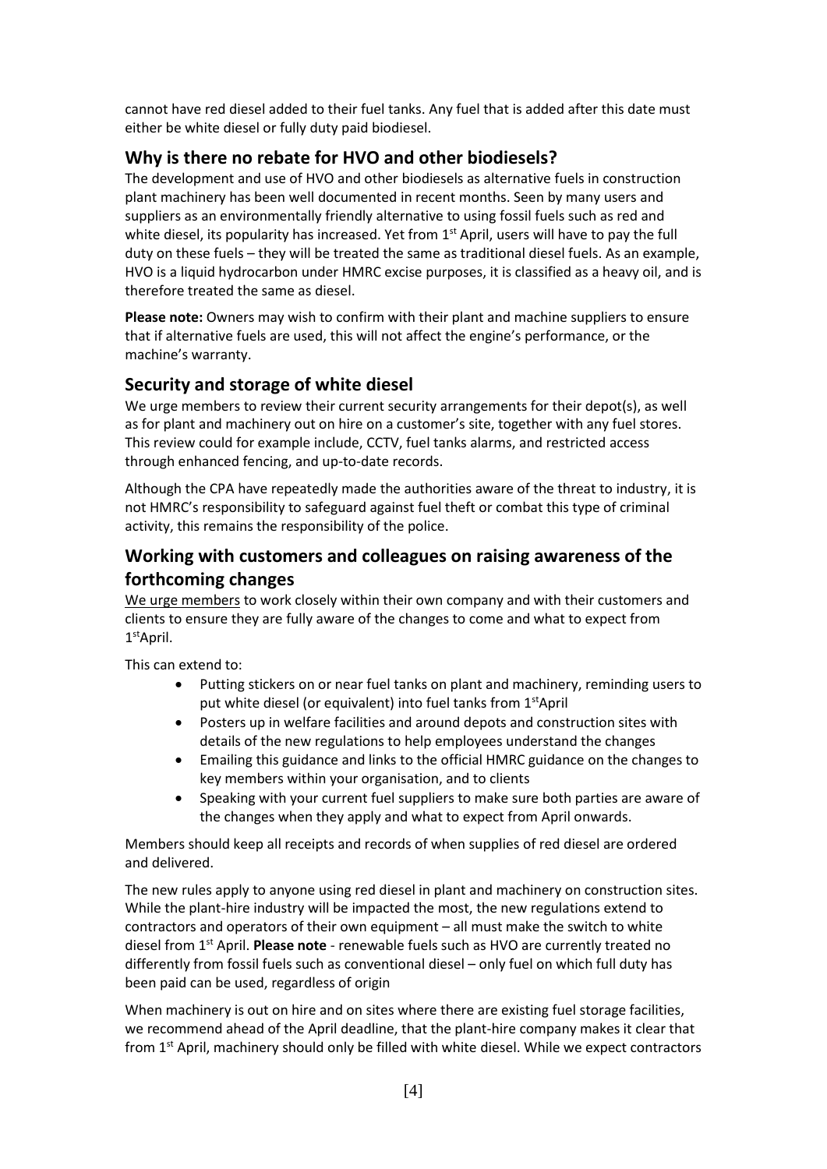cannot have red diesel added to their fuel tanks. Any fuel that is added after this date must either be white diesel or fully duty paid biodiesel.

## **Why is there no rebate for HVO and other biodiesels?**

The development and use of HVO and other biodiesels as alternative fuels in construction plant machinery has been well documented in recent months. Seen by many users and suppliers as an environmentally friendly alternative to using fossil fuels such as red and white diesel, its popularity has increased. Yet from 1<sup>st</sup> April, users will have to pay the full duty on these fuels – they will be treated the same as traditional diesel fuels. As an example, HVO is a liquid hydrocarbon under HMRC excise purposes, it is classified as a heavy oil, and is therefore treated the same as diesel.

**Please note:** Owners may wish to confirm with their plant and machine suppliers to ensure that if alternative fuels are used, this will not affect the engine's performance, or the machine's warranty.

## **Security and storage of white diesel**

We urge members to review their current security arrangements for their depot(s), as well as for plant and machinery out on hire on a customer's site, together with any fuel stores. This review could for example include, CCTV, fuel tanks alarms, and restricted access through enhanced fencing, and up-to-date records.

Although the CPA have repeatedly made the authorities aware of the threat to industry, it is not HMRC's responsibility to safeguard against fuel theft or combat this type of criminal activity, this remains the responsibility of the police.

## **Working with customers and colleagues on raising awareness of the forthcoming changes**

We urge members to work closely within their own company and with their customers and clients to ensure they are fully aware of the changes to come and what to expect from 1 stApril.

This can extend to:

- Putting stickers on or near fuel tanks on plant and machinery, reminding users to put white diesel (or equivalent) into fuel tanks from  $1<sup>st</sup>$ April
- Posters up in welfare facilities and around depots and construction sites with details of the new regulations to help employees understand the changes
- Emailing this guidance and links to the official HMRC guidance on the changes to key members within your organisation, and to clients
- Speaking with your current fuel suppliers to make sure both parties are aware of the changes when they apply and what to expect from April onwards.

Members should keep all receipts and records of when supplies of red diesel are ordered and delivered.

The new rules apply to anyone using red diesel in plant and machinery on construction sites. While the plant-hire industry will be impacted the most, the new regulations extend to contractors and operators of their own equipment – all must make the switch to white diesel from 1st April. **Please note** - renewable fuels such as HVO are currently treated no differently from fossil fuels such as conventional diesel – only fuel on which full duty has been paid can be used, regardless of origin

When machinery is out on hire and on sites where there are existing fuel storage facilities, we recommend ahead of the April deadline, that the plant-hire company makes it clear that from 1<sup>st</sup> April, machinery should only be filled with white diesel. While we expect contractors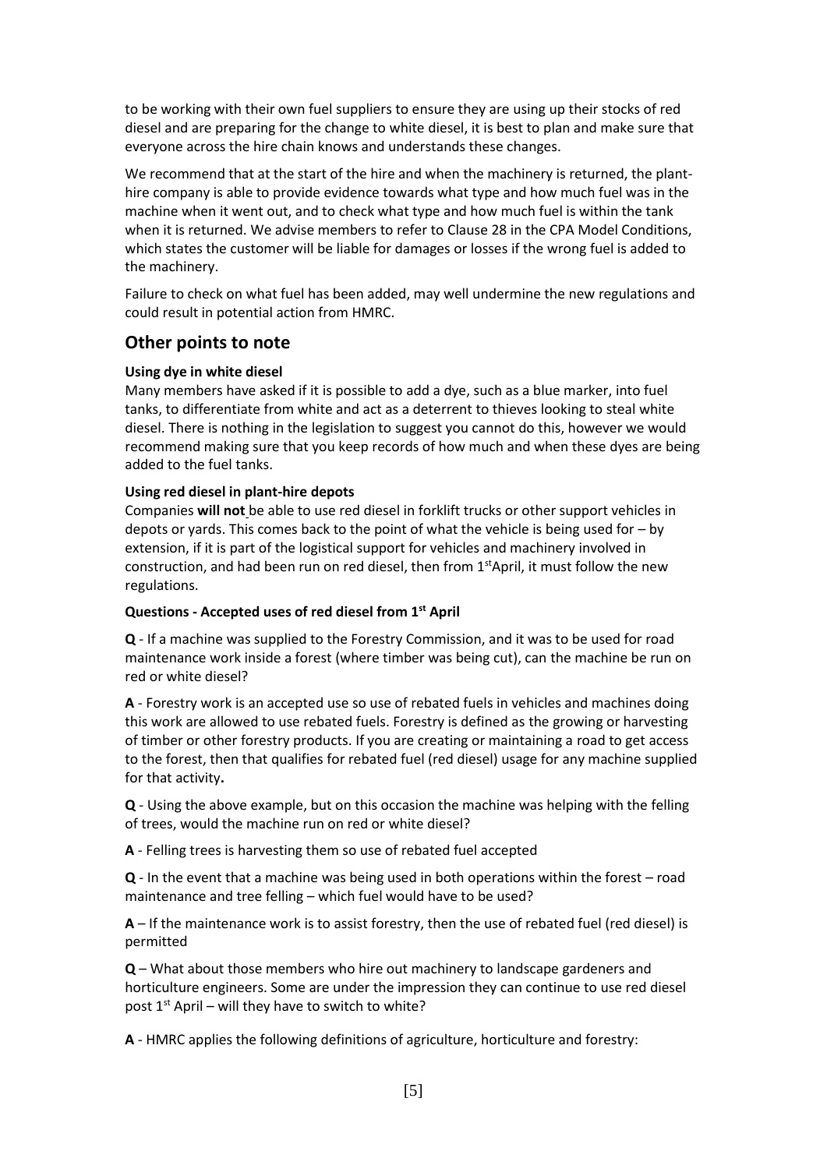to be working with their own fuel suppliers to ensure they are using up their stocks of red diesel and are preparing for the change to white diesel, it is best to plan and make sure that everyone across the hire chain knows and understands these changes.

We recommend that at the start of the hire and when the machinery is returned, the planthire company is able to provide evidence towards what type and how much fuel was in the machine when it went out, and to check what type and how much fuel is within the tank when it is returned. We advise members to refer to Clause 28 in the CPA Model Conditions, which states the customer will be liable for damages or losses if the wrong fuel is added to the machinery.

Failure to check on what fuel has been added, may well undermine the new regulations and could result in potential action from HMRC.

### **Other points to note**

### **Using dye in white diesel**

Many members have asked if it is possible to add a dye, such as a blue marker, into fuel tanks, to differentiate from white and act as a deterrent to thieves looking to steal white diesel. There is nothing in the legislation to suggest you cannot do this, however we would recommend making sure that you keep records of how much and when these dyes are being added to the fuel tanks.

### **Using red diesel in plant-hire depots**

Companies **will not** be able to use red diesel in forklift trucks or other support vehicles in depots or yards. This comes back to the point of what the vehicle is being used for  $-$  by extension, if it is part of the logistical support for vehicles and machinery involved in construction, and had been run on red diesel, then from 1<sup>st</sup>April, it must follow the new regulations.

#### **Questions - Accepted uses of red diesel from 1st April**

**Q** - If a machine was supplied to the Forestry Commission, and it was to be used for road maintenance work inside a forest (where timber was being cut), can the machine be run on red or white diesel?

**A** - Forestry work is an accepted use so use of rebated fuels in vehicles and machines doing this work are allowed to use rebated fuels. Forestry is defined as the growing or harvesting of timber or other forestry products. If you are creating or maintaining a road to get access to the forest, then that qualifies for rebated fuel (red diesel) usage for any machine supplied for that activity**.** 

**Q** - Using the above example, but on this occasion the machine was helping with the felling of trees, would the machine run on red or white diesel?

**A** - Felling trees is harvesting them so use of rebated fuel accepted

**Q** - In the event that a machine was being used in both operations within the forest – road maintenance and tree felling – which fuel would have to be used?

**A** – If the maintenance work is to assist forestry, then the use of rebated fuel (red diesel) is permitted

**Q** – What about those members who hire out machinery to landscape gardeners and horticulture engineers. Some are under the impression they can continue to use red diesel post  $1<sup>st</sup>$  April – will they have to switch to white?

**A** - HMRC applies the following definitions of agriculture, horticulture and forestry: